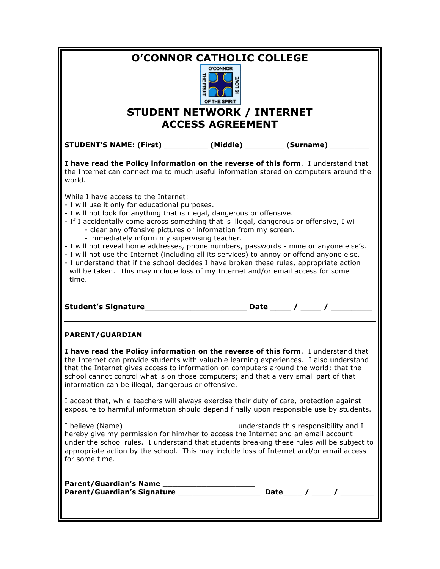| <b>O'CONNOR CATHOLIC COLLEGE</b><br><b>O'CONNOR</b><br>녺<br>LOVE<br><b>FRUIT</b><br>OF THE SPIRIT<br><b>STUDENT NETWORK / INTERNET</b><br><b>ACCESS AGREEMENT</b>                                                                                                                                                                                                                                                                                                                                                                                                                                                                                                                                                                                              |  |
|----------------------------------------------------------------------------------------------------------------------------------------------------------------------------------------------------------------------------------------------------------------------------------------------------------------------------------------------------------------------------------------------------------------------------------------------------------------------------------------------------------------------------------------------------------------------------------------------------------------------------------------------------------------------------------------------------------------------------------------------------------------|--|
| STUDENT'S NAME: (First) ____________ (Middle) _________ (Surname) _                                                                                                                                                                                                                                                                                                                                                                                                                                                                                                                                                                                                                                                                                            |  |
| I have read the Policy information on the reverse of this form. I understand that<br>the Internet can connect me to much useful information stored on computers around the<br>world.                                                                                                                                                                                                                                                                                                                                                                                                                                                                                                                                                                           |  |
| While I have access to the Internet:<br>- I will use it only for educational purposes.<br>- I will not look for anything that is illegal, dangerous or offensive.<br>- If I accidentally come across something that is illegal, dangerous or offensive, I will<br>- clear any offensive pictures or information from my screen.<br>- immediately inform my supervising teacher.<br>- I will not reveal home addresses, phone numbers, passwords - mine or anyone else's.<br>- I will not use the Internet (including all its services) to annoy or offend anyone else.<br>- I understand that if the school decides I have broken these rules, appropriate action<br>will be taken. This may include loss of my Internet and/or email access for some<br>time. |  |
|                                                                                                                                                                                                                                                                                                                                                                                                                                                                                                                                                                                                                                                                                                                                                                |  |
| <b>PARENT/GUARDIAN</b>                                                                                                                                                                                                                                                                                                                                                                                                                                                                                                                                                                                                                                                                                                                                         |  |
| I have read the Policy information on the reverse of this form. I understand that<br>the Internet can provide students with valuable learning experiences. I also understand<br>that the Internet gives access to information on computers around the world; that the<br>school cannot control what is on those computers; and that a very small part of that<br>information can be illegal, dangerous or offensive.                                                                                                                                                                                                                                                                                                                                           |  |
| I accept that, while teachers will always exercise their duty of care, protection against<br>exposure to harmful information should depend finally upon responsible use by students.                                                                                                                                                                                                                                                                                                                                                                                                                                                                                                                                                                           |  |
| I believe (Name) ________<br>anderstands this responsibility and I<br>hereby give my permission for him/her to access the Internet and an email account<br>under the school rules. I understand that students breaking these rules will be subject to<br>appropriate action by the school. This may include loss of Internet and/or email access<br>for some time.                                                                                                                                                                                                                                                                                                                                                                                             |  |
| Date_____ / _____ / _____<br>Parent/Guardian's Signature __________________                                                                                                                                                                                                                                                                                                                                                                                                                                                                                                                                                                                                                                                                                    |  |